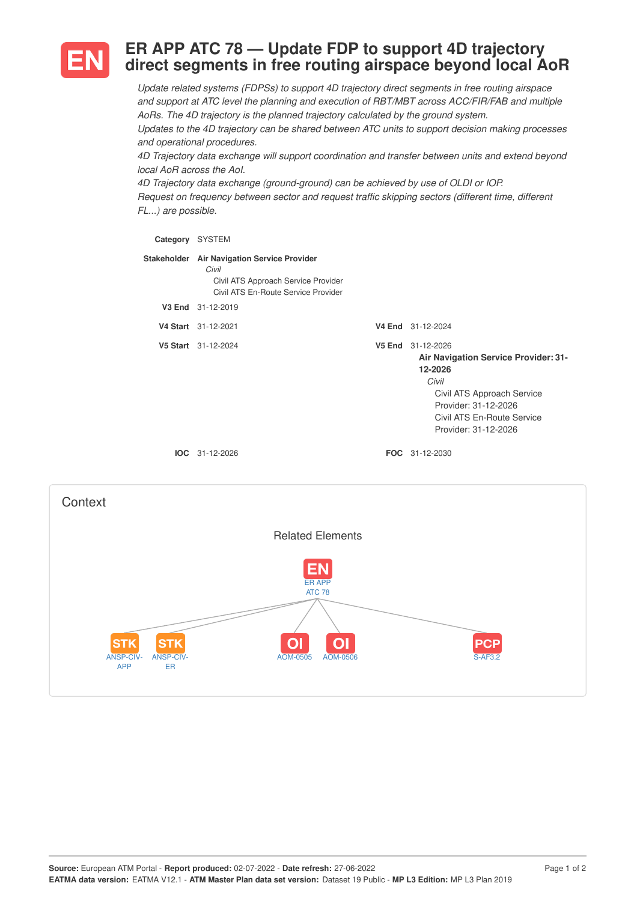

## **ER APP ATC 78 — Update FDP to support 4D trajectory direct segments in free routing airspace beyond local AoR**

*Update related systems (FDPSs) to support 4D trajectory direct segments in free routing airspace and support at ATC level the planning and execution of RBT/MBT across ACC/FIR/FAB and multiple AoRs. The 4D trajectory is the planned trajectory calculated by the ground system. Updates to the 4D trajectory can be shared between ATC units to support decision making processes and operational procedures.*

*4D Trajectory data exchange will support coordination and transfer between units and extend beyond local AoR across the AoI.*

*4D Trajectory data exchange (ground-ground) can be achieved by use of OLDI or IOP. Request on frequency between sector and request traffic skipping sectors (different time, different FL...) are possible.*

| Category | <b>SYSTEM</b>                                                                                                                      |                                                                                                                                                                                           |
|----------|------------------------------------------------------------------------------------------------------------------------------------|-------------------------------------------------------------------------------------------------------------------------------------------------------------------------------------------|
|          | Stakeholder Air Navigation Service Provider<br>Civil<br>Civil ATS Approach Service Provider<br>Civil ATS En-Route Service Provider |                                                                                                                                                                                           |
| V3 End   | 31-12-2019                                                                                                                         |                                                                                                                                                                                           |
|          | V4 Start 31-12-2021                                                                                                                | V4 End 31-12-2024                                                                                                                                                                         |
|          | V5 Start 31-12-2024                                                                                                                | V5 End 31-12-2026<br>Air Navigation Service Provider: 31-<br>12-2026<br>Civil<br>Civil ATS Approach Service<br>Provider: 31-12-2026<br>Civil ATS En-Route Service<br>Provider: 31-12-2026 |